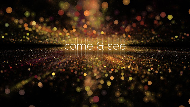# come & see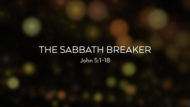## THE SABBATH BREAKER John 5:1-18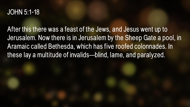#### JOHN 5:1-18

After this there was a feast of the Jews, and Jesus went up to Jerusalem. Now there is in Jerusalem by the Sheep Gate a pool, in Aramaic called Bethesda, which has five roofed colonnades. In these lay a multitude of invalids—blind, lame, and paralyzed.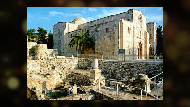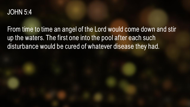

From time to time an angel of the Lord would come down and stir up the waters. The first one into the pool after each such disturbance would be cured of whatever disease they had.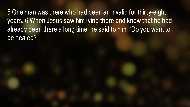5 One man was there who had been an invalid for thirty-eight years. 6 When Jesus saw him lying there and knew that he had already been there a long time, he said to him, "Do you want to be healed?"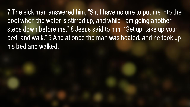7 The sick man answered him, "Sir, I have no one to put me into the pool when the water is stirred up, and while I am going another steps down before me." 8 Jesus said to him, "Get up, take up your bed, and walk." 9 And at once the man was healed, and he took up his bed and walked.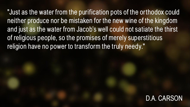"Just as the water from the purification pots of the orthodox could neither produce nor be mistaken for the new wine of the kingdom and just as the water from Jacob's well could not satiate the thirst of religious people, so the promises of merely superstitious religion have no power to transform the truly needy."

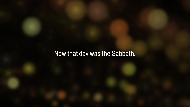## Now that day was the Sabbath.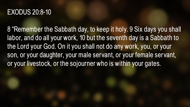### EXODUS 20:8-10

8 "Remember the Sabbath day, to keep it holy. 9 Six days you shall labor, and do all your work, 10 but the seventh day is a Sabbath to the Lord your God. On it you shall not do any work, you, or your son, or your daughter, your male servant, or your female servant, or your livestock, or the sojourner who is within your gates.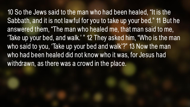10 So the Jews said to the man who had been healed, "It is the Sabbath, and it is not lawful for you to take up your bed." 11 But he answered them, "The man who healed me, that man said to me, 'Take up your bed, and walk.' " 12 They asked him, "Who is the man who said to you, 'Take up your bed and walk'?" 13 Now the man who had been healed did not know who it was, for Jesus had withdrawn, as there was a crowd in the place.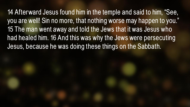14 Afterward Jesus found him in the temple and said to him, "See, you are well! Sin no more, that nothing worse may happen to you." 15 The man went away and told the Jews that it was Jesus who had healed him. 16 And this was why the Jews were persecuting Jesus, because he was doing these things on the Sabbath.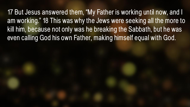17 But Jesus answered them, "My Father is working until now, and I am working." 18 This was why the Jews were seeking all the more to kill him, because not only was he breaking the Sabbath, but he was even calling God his own Father, making himself equal with God.